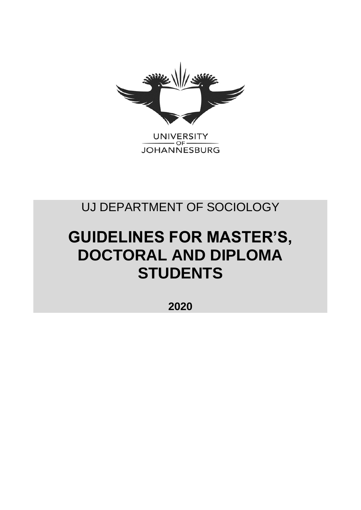

UNIVERSITY<br>JOHANNESBURG

## UJ DEPARTMENT OF SOCIOLOGY

# **GUIDELINES FOR MASTER'S, DOCTORAL AND DIPLOMA STUDENTS**

**2020**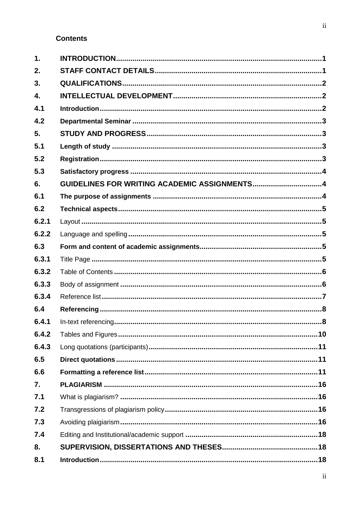## **Contents**

| $\mathbf 1$ .    |                                              |
|------------------|----------------------------------------------|
| 2.               |                                              |
| 3.               |                                              |
| $\overline{4}$ . |                                              |
| 4.1              |                                              |
| 4.2              |                                              |
| 5.               |                                              |
| 5.1              |                                              |
| 5.2              |                                              |
| 5.3              |                                              |
| 6.               | GUIDELINES FOR WRITING ACADEMIC ASSIGNMENTS4 |
| 6.1              |                                              |
| 6.2              |                                              |
| 6.2.1            |                                              |
| 6.2.2            |                                              |
| 6.3              |                                              |
| 6.3.1            |                                              |
| 6.3.2            |                                              |
| 6.3.3            |                                              |
| 6.3.4            |                                              |
| 6.4              |                                              |
| 6.4.1            |                                              |
| 6.4.2            |                                              |
| 6.4.3            |                                              |
| 6.5              |                                              |
| 6.6              |                                              |
| 7.               |                                              |
| 7.1              |                                              |
| 7.2              |                                              |
| 7.3              |                                              |
| 7.4              |                                              |
| 8.               |                                              |
| 8.1              |                                              |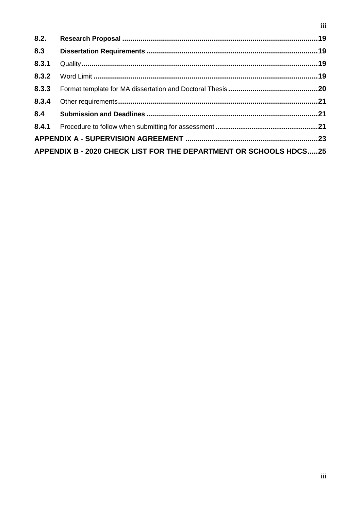| 8.2.                                                              |  |  |
|-------------------------------------------------------------------|--|--|
| 8.3                                                               |  |  |
| 8.3.1                                                             |  |  |
| 8.3.2                                                             |  |  |
| 8.3.3                                                             |  |  |
| 8.3.4                                                             |  |  |
| 8.4                                                               |  |  |
|                                                                   |  |  |
|                                                                   |  |  |
| APPENDIX B - 2020 CHECK LIST FOR THE DEPARTMENT OR SCHOOLS HDCS25 |  |  |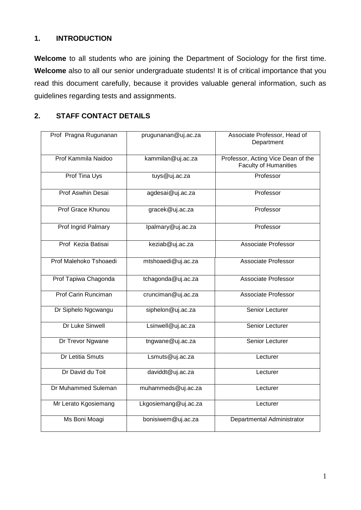## **1. INTRODUCTION**

**Welcome** to all students who are joining the Department of Sociology for the first time. Welcome also to all our senior undergraduate students! It is of critical importance that you read this document carefully, because it provides valuable general information, such as guidelines regarding tests and assignments.

## **2. STAFF CONTACT DETAILS**

| Prof Pragna Rugunanan          | prugunanan@uj.ac.za  | Associate Professor, Head of<br>Department                         |
|--------------------------------|----------------------|--------------------------------------------------------------------|
| Prof Kammila Naidoo            | kammilan@uj.ac.za    | Professor, Acting Vice Dean of the<br><b>Faculty of Humanities</b> |
| Prof Tina Uys<br>tuys@uj.ac.za |                      | Professor                                                          |
| <b>Prof Aswhin Desai</b>       | agdesai@uj.ac.za     |                                                                    |
| Prof Grace Khunou              | gracek@uj.ac.za      | Professor                                                          |
| Prof Ingrid Palmary            | lpalmary@uj.ac.za    | Professor                                                          |
| Prof Kezia Batisai             | keziab@uj.ac.za      | Associate Professor                                                |
| Prof Malehoko Tshoaedi         | mtshoaedi@uj.ac.za   | Associate Professor                                                |
| Prof Tapiwa Chagonda           | tchagonda@uj.ac.za   | Associate Professor                                                |
| Prof Carin Runciman            | crunciman@uj.ac.za   | Associate Professor                                                |
| Dr Siphelo Ngcwangu            | siphelon@uj.ac.za    | Senior Lecturer                                                    |
| Dr Luke Sinwell                | Lsinwell@uj.ac.za    | Senior Lecturer                                                    |
| Dr Trevor Ngwane               | tngwane@uj.ac.za     | Senior Lecturer                                                    |
| <b>Dr Letitia Smuts</b>        | Lsmuts@uj.ac.za      | Lecturer                                                           |
| Dr David du Toit               | daviddt@uj.ac.za     | Lecturer                                                           |
| Dr Muhammed Suleman            | muhammeds@uj.ac.za   | Lecturer                                                           |
| Mr Lerato Kgosiemang           | Lkgosiemang@uj.ac.za | Lecturer                                                           |
| Ms Boni Moagi                  | bonisiwem@uj.ac.za   | Departmental Administrator                                         |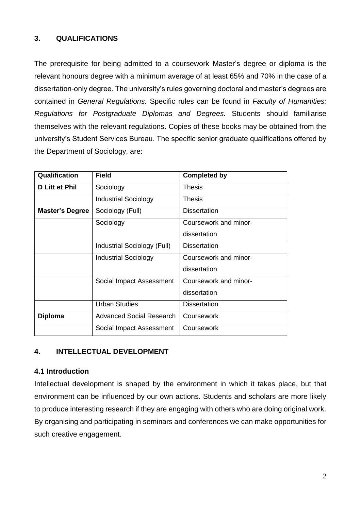## **3. QUALIFICATIONS**

The prerequisite for being admitted to a coursework Master's degree or diploma is the relevant honours degree with a minimum average of at least 65% and 70% in the case of a dissertation-only degree. The university's rules governing doctoral and master's degrees are contained in *General Regulations.* Specific rules can be found in *Faculty of Humanities: Regulations for Postgraduate Diplomas and Degrees.* Students should familiarise themselves with the relevant regulations. Copies of these books may be obtained from the university's Student Services Bureau. The specific senior graduate qualifications offered by the Department of Sociology, are:

| Qualification          | <b>Field</b>                | <b>Completed by</b>   |
|------------------------|-----------------------------|-----------------------|
| <b>D Litt et Phil</b>  | Sociology                   | <b>Thesis</b>         |
|                        | <b>Industrial Sociology</b> | <b>Thesis</b>         |
| <b>Master's Degree</b> | Sociology (Full)            | <b>Dissertation</b>   |
|                        | Sociology                   | Coursework and minor- |
|                        |                             | dissertation          |
|                        | Industrial Sociology (Full) | <b>Dissertation</b>   |
|                        | <b>Industrial Sociology</b> | Coursework and minor- |
|                        |                             | dissertation          |
|                        | Social Impact Assessment    | Coursework and minor- |
|                        |                             | dissertation          |
|                        | <b>Urban Studies</b>        | <b>Dissertation</b>   |
| <b>Diploma</b>         | Advanced Social Research    | Coursework            |
|                        | Social Impact Assessment    | Coursework            |

## **4. INTELLECTUAL DEVELOPMENT**

## **4.1 Introduction**

Intellectual development is shaped by the environment in which it takes place, but that environment can be influenced by our own actions. Students and scholars are more likely to produce interesting research if they are engaging with others who are doing original work. By organising and participating in seminars and conferences we can make opportunities for such creative engagement.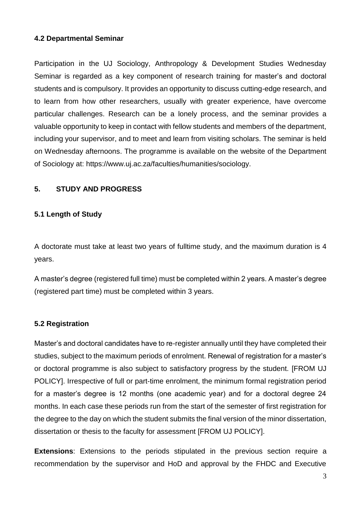#### **4.2 Departmental Seminar**

Participation in the UJ Sociology, Anthropology & Development Studies Wednesday Seminar is regarded as a key component of research training for master's and doctoral students and is compulsory. It provides an opportunity to discuss cutting-edge research, and to learn from how other researchers, usually with greater experience, have overcome particular challenges. Research can be a lonely process, and the seminar provides a valuable opportunity to keep in contact with fellow students and members of the department, including your supervisor, and to meet and learn from visiting scholars. The seminar is held on Wednesday afternoons. The programme is available on the website of the Department of Sociology at: https://www.uj.ac.za/faculties/humanities/sociology.

## **5. STUDY AND PROGRESS**

## **5.1 Length of Study**

A doctorate must take at least two years of fulltime study, and the maximum duration is 4 years.

A master's degree (registered full time) must be completed within 2 years. A master's degree (registered part time) must be completed within 3 years.

## **5.2 Registration**

Master's and doctoral candidates have to re-register annually until they have completed their studies, subject to the maximum periods of enrolment. Renewal of registration for a master's or doctoral programme is also subject to satisfactory progress by the student. [FROM UJ POLICY]. Irrespective of full or part-time enrolment, the minimum formal registration period for a master's degree is 12 months (one academic year) and for a doctoral degree 24 months. In each case these periods run from the start of the semester of first registration for the degree to the day on which the student submits the final version of the minor dissertation, dissertation or thesis to the faculty for assessment [FROM UJ POLICY].

**Extensions**: Extensions to the periods stipulated in the previous section require a recommendation by the supervisor and HoD and approval by the FHDC and Executive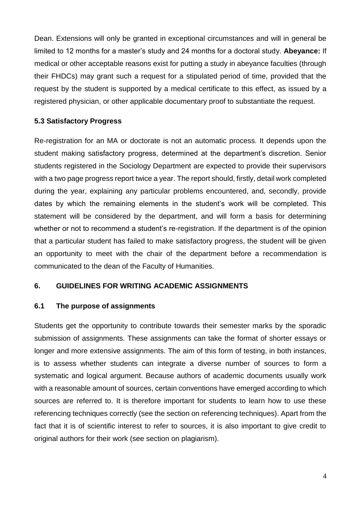Dean. Extensions will only be granted in exceptional circumstances and will in general be limited to 12 months for a master's study and 24 months for a doctoral study. **Abeyance:** If medical or other acceptable reasons exist for putting a study in abeyance faculties (through their FHDCs) may grant such a request for a stipulated period of time, provided that the request by the student is supported by a medical certificate to this effect, as issued by a registered physician, or other applicable documentary proof to substantiate the request.

## **5.3 Satisfactory Progress**

Re-registration for an MA or doctorate is not an automatic process. It depends upon the student making satisfactory progress, determined at the department's discretion. Senior students registered in the Sociology Department are expected to provide their supervisors with a two page progress report twice a year. The report should, firstly, detail work completed during the year, explaining any particular problems encountered, and, secondly, provide dates by which the remaining elements in the student's work will be completed. This statement will be considered by the department, and will form a basis for determining whether or not to recommend a student's re-registration. If the department is of the opinion that a particular student has failed to make satisfactory progress, the student will be given an opportunity to meet with the chair of the department before a recommendation is communicated to the dean of the Faculty of Humanities.

## **6. GUIDELINES FOR WRITING ACADEMIC ASSIGNMENTS**

## **6.1 The purpose of assignments**

Students get the opportunity to contribute towards their semester marks by the sporadic submission of assignments. These assignments can take the format of shorter essays or longer and more extensive assignments. The aim of this form of testing, in both instances, is to assess whether students can integrate a diverse number of sources to form a systematic and logical argument. Because authors of academic documents usually work with a reasonable amount of sources, certain conventions have emerged according to which sources are referred to. It is therefore important for students to learn how to use these referencing techniques correctly (see the section on referencing techniques). Apart from the fact that it is of scientific interest to refer to sources, it is also important to give credit to original authors for their work (see section on plagiarism).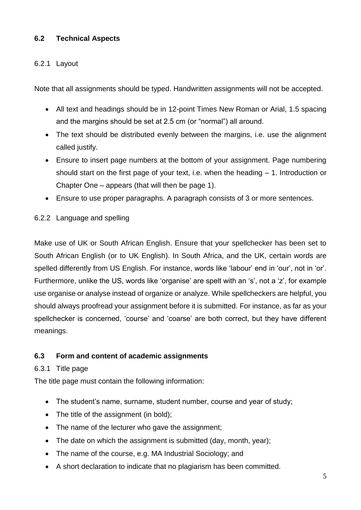## **6.2 Technical Aspects**

## 6.2.1 Layout

Note that all assignments should be typed. Handwritten assignments will not be accepted.

- All text and headings should be in 12-point Times New Roman or Arial, 1.5 spacing and the margins should be set at 2.5 cm (or "normal") all around.
- The text should be distributed evenly between the margins, i.e. use the alignment called justify.
- Ensure to insert page numbers at the bottom of your assignment. Page numbering should start on the first page of your text, i.e. when the heading  $-1$ . Introduction or Chapter One – appears (that will then be page 1).
- Ensure to use proper paragraphs. A paragraph consists of 3 or more sentences.

### 6.2.2 Language and spelling

Make use of UK or South African English. Ensure that your spellchecker has been set to South African English (or to UK English). In South Africa, and the UK, certain words are spelled differently from US English. For instance, words like 'labour' end in 'our', not in 'or'. Furthermore, unlike the US, words like 'organise' are spelt with an 's', not a 'z', for example use organise or analyse instead of organize or analyze. While spellcheckers are helpful, you should always proofread your assignment before it is submitted. For instance, as far as your spellchecker is concerned, 'course' and 'coarse' are both correct, but they have different meanings.

## **6.3 Form and content of academic assignments**

#### 6.3.1 Title page

The title page must contain the following information:

- The student's name, surname, student number, course and year of study;
- The title of the assignment (in bold):
- The name of the lecturer who gave the assignment;
- The date on which the assignment is submitted (day, month, year);
- The name of the course, e.g. MA Industrial Sociology; and
- A short declaration to indicate that no plagiarism has been committed.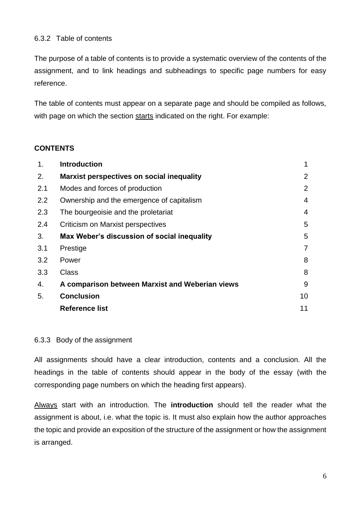## 6.3.2 Table of contents

The purpose of a table of contents is to provide a systematic overview of the contents of the assignment, and to link headings and subheadings to specific page numbers for easy reference.

The table of contents must appear on a separate page and should be compiled as follows, with page on which the section starts indicated on the right. For example:

### **CONTENTS**

| 1 <sub>1</sub> | <b>Introduction</b>                             | 1              |
|----------------|-------------------------------------------------|----------------|
| 2.             | Marxist perspectives on social inequality       | 2              |
| 2.1            | Modes and forces of production                  | 2              |
| 2.2            | Ownership and the emergence of capitalism       | $\overline{4}$ |
| 2.3            | The bourgeoisie and the proletariat             | $\overline{4}$ |
| 2.4            | Criticism on Marxist perspectives               | 5              |
| 3.             | Max Weber's discussion of social inequality     | 5              |
| 3.1            | Prestige                                        | $\overline{7}$ |
| 3.2            | Power                                           | 8              |
| 3.3            | <b>Class</b>                                    | 8              |
| 4.             | A comparison between Marxist and Weberian views | 9              |
| 5.             | <b>Conclusion</b>                               | 10             |
|                | Reference list                                  | 11             |

#### 6.3.3 Body of the assignment

All assignments should have a clear introduction, contents and a conclusion. All the headings in the table of contents should appear in the body of the essay (with the corresponding page numbers on which the heading first appears).

Always start with an introduction. The **introduction** should tell the reader what the assignment is about, i.e. what the topic is. It must also explain how the author approaches the topic and provide an exposition of the structure of the assignment or how the assignment is arranged.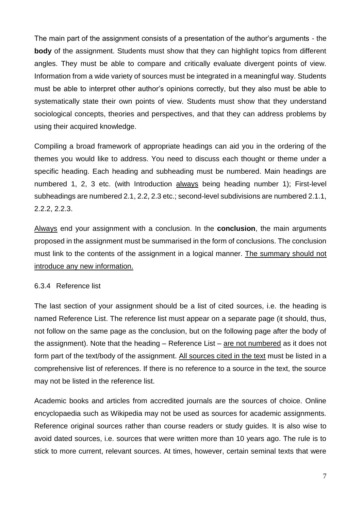The main part of the assignment consists of a presentation of the author's arguments - the **body** of the assignment. Students must show that they can highlight topics from different angles. They must be able to compare and critically evaluate divergent points of view. Information from a wide variety of sources must be integrated in a meaningful way. Students must be able to interpret other author's opinions correctly, but they also must be able to systematically state their own points of view. Students must show that they understand sociological concepts, theories and perspectives, and that they can address problems by using their acquired knowledge.

Compiling a broad framework of appropriate headings can aid you in the ordering of the themes you would like to address. You need to discuss each thought or theme under a specific heading. Each heading and subheading must be numbered. Main headings are numbered 1, 2, 3 etc. (with Introduction always being heading number 1); First-level subheadings are numbered 2.1, 2.2, 2.3 etc.; second-level subdivisions are numbered 2.1.1, 2.2.2, 2.2.3.

Always end your assignment with a conclusion. In the **conclusion**, the main arguments proposed in the assignment must be summarised in the form of conclusions. The conclusion must link to the contents of the assignment in a logical manner. The summary should not introduce any new information.

## 6.3.4 Reference list

The last section of your assignment should be a list of cited sources, i.e. the heading is named Reference List. The reference list must appear on a separate page (it should, thus, not follow on the same page as the conclusion, but on the following page after the body of the assignment). Note that the heading – Reference List – are not numbered as it does not form part of the text/body of the assignment. All sources cited in the text must be listed in a comprehensive list of references. If there is no reference to a source in the text, the source may not be listed in the reference list.

Academic books and articles from accredited journals are the sources of choice. Online encyclopaedia such as Wikipedia may not be used as sources for academic assignments. Reference original sources rather than course readers or study guides. It is also wise to avoid dated sources, i.e. sources that were written more than 10 years ago. The rule is to stick to more current, relevant sources. At times, however, certain seminal texts that were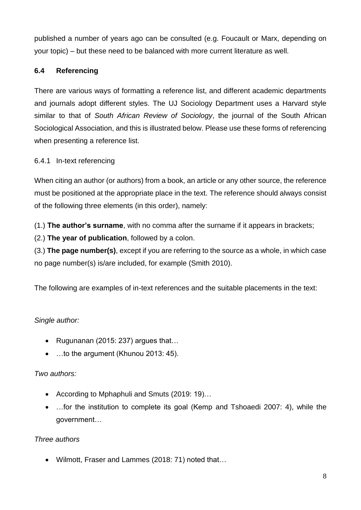published a number of years ago can be consulted (e.g. Foucault or Marx, depending on your topic) – but these need to be balanced with more current literature as well.

## **6.4 Referencing**

There are various ways of formatting a reference list, and different academic departments and journals adopt different styles. The UJ Sociology Department uses a Harvard style similar to that of *South African Review of Sociology*, the journal of the South African Sociological Association, and this is illustrated below. Please use these forms of referencing when presenting a reference list.

## 6.4.1 In-text referencing

When citing an author (or authors) from a book, an article or any other source, the reference must be positioned at the appropriate place in the text. The reference should always consist of the following three elements (in this order), namely:

(1.) **The author's surname**, with no comma after the surname if it appears in brackets;

(2.) **The year of publication**, followed by a colon.

(3.) **The page number(s)**, except if you are referring to the source as a whole, in which case no page number(s) is/are included, for example (Smith 2010).

The following are examples of in-text references and the suitable placements in the text:

## *Single author:*

- Rugunanan (2015: 237) argues that…
- …to the argument (Khunou 2013: 45).

## *Two authors:*

- According to Mphaphuli and Smuts (2019: 19)…
- ... for the institution to complete its goal (Kemp and Tshoaedi 2007: 4), while the government…

## *Three authors*

Wilmott, Fraser and Lammes (2018: 71) noted that…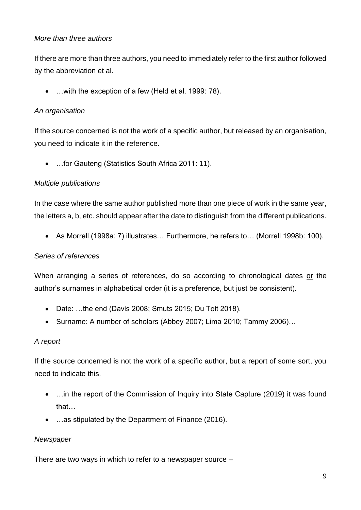## *More than three authors*

If there are more than three authors, you need to immediately refer to the first author followed by the abbreviation et al.

…with the exception of a few (Held et al. 1999: 78).

## *An organisation*

If the source concerned is not the work of a specific author, but released by an organisation, you need to indicate it in the reference.

…for Gauteng (Statistics South Africa 2011: 11).

## *Multiple publications*

In the case where the same author published more than one piece of work in the same year, the letters a, b, etc. should appear after the date to distinguish from the different publications.

As Morrell (1998a: 7) illustrates… Furthermore, he refers to… (Morrell 1998b: 100).

## *Series of references*

When arranging a series of references, do so according to chronological dates or the author's surnames in alphabetical order (it is a preference, but just be consistent).

- Date: …the end (Davis 2008; Smuts 2015; Du Toit 2018).
- Surname: A number of scholars (Abbey 2007; Lima 2010; Tammy 2006)…

## *A report*

If the source concerned is not the work of a specific author, but a report of some sort, you need to indicate this.

- ... in the report of the Commission of Inquiry into State Capture (2019) it was found that…
- …as stipulated by the Department of Finance (2016).

## *Newspaper*

There are two ways in which to refer to a newspaper source –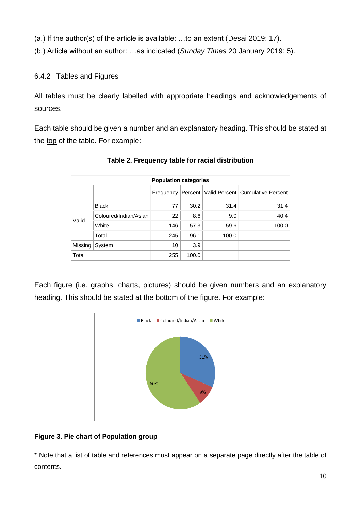(a.) If the author(s) of the article is available: …to an extent (Desai 2019: 17).

(b.) Article without an author: …as indicated (*Sunday Times* 20 January 2019: 5).

6.4.2 Tables and Figures

All tables must be clearly labelled with appropriate headings and acknowledgements of sources.

Each table should be given a number and an explanatory heading. This should be stated at the top of the table. For example:

| <b>Population categories</b> |                       |           |       |       |                                              |
|------------------------------|-----------------------|-----------|-------|-------|----------------------------------------------|
|                              |                       | Frequency |       |       | Percent   Valid Percent   Cumulative Percent |
|                              | <b>Black</b>          | 77        | 30.2  | 31.4  | 31.4                                         |
| Valid                        | Coloured/Indian/Asian | 22        | 8.6   | 9.0   | 40.4                                         |
|                              | White                 | 146       | 57.3  | 59.6  | 100.0                                        |
|                              | Total                 | 245       | 96.1  | 100.0 |                                              |
| Missing                      | System                | 10        | 3.9   |       |                                              |
| Total                        |                       | 255       | 100.0 |       |                                              |

**Table 2. Frequency table for racial distribution**

Each figure (i.e. graphs, charts, pictures) should be given numbers and an explanatory heading. This should be stated at the bottom of the figure. For example:



## **Figure 3. Pie chart of Population group**

\* Note that a list of table and references must appear on a separate page directly after the table of contents.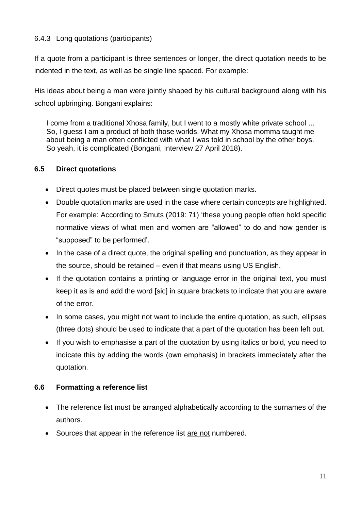## 6.4.3 Long quotations (participants)

If a quote from a participant is three sentences or longer, the direct quotation needs to be indented in the text, as well as be single line spaced. For example:

His ideas about being a man were jointly shaped by his cultural background along with his school upbringing. Bongani explains:

I come from a traditional Xhosa family, but I went to a mostly white private school ... So, I guess I am a product of both those worlds. What my Xhosa momma taught me about being a man often conflicted with what I was told in school by the other boys. So yeah, it is complicated (Bongani, Interview 27 April 2018).

## **6.5 Direct quotations**

- Direct quotes must be placed between single quotation marks.
- Double quotation marks are used in the case where certain concepts are highlighted. For example: According to Smuts (2019: 71) 'these young people often hold specific normative views of what men and women are "allowed" to do and how gender is "supposed" to be performed'.
- In the case of a direct quote, the original spelling and punctuation, as they appear in the source, should be retained – even if that means using US English.
- If the quotation contains a printing or language error in the original text, you must keep it as is and add the word [sic] in square brackets to indicate that you are aware of the error.
- In some cases, you might not want to include the entire quotation, as such, ellipses (three dots) should be used to indicate that a part of the quotation has been left out.
- If you wish to emphasise a part of the quotation by using italics or bold, you need to indicate this by adding the words (own emphasis) in brackets immediately after the quotation.

## **6.6 Formatting a reference list**

- The reference list must be arranged alphabetically according to the surnames of the authors.
- Sources that appear in the reference list are not numbered.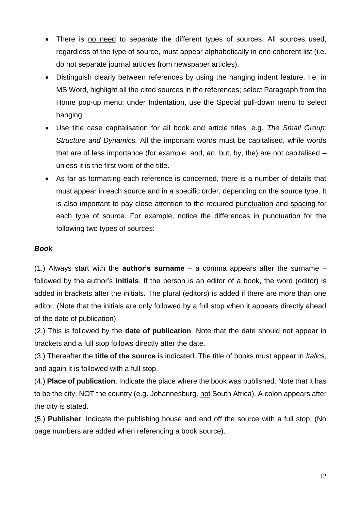- There is no need to separate the different types of sources. All sources used, regardless of the type of source, must appear alphabetically in one coherent list (i.e. do not separate journal articles from newspaper articles).
- Distinguish clearly between references by using the hanging indent feature. I.e. in MS Word, highlight all the cited sources in the references; select Paragraph from the Home pop-up menu; under Indentation, use the Special pull-down menu to select hanging.
- Use title case capitalisation for all book and article titles, e.g. *The Small Group: Structure and Dynamics.* All the important words must be capitalised, while words that are of less importance (for example: and, an, but, by, the) are not capitalised – unless it is the first word of the title.
- As far as formatting each reference is concerned, there is a number of details that must appear in each source and in a specific order, depending on the source type. It is also important to pay close attention to the required punctuation and spacing for each type of source. For example, notice the differences in punctuation for the following two types of sources:

## *Book*

(1.) Always start with the **author's surname** – a comma appears after the surname – followed by the author's **initials**. If the person is an editor of a book, the word (editor) is added in brackets after the initials. The plural (editors) is added if there are more than one editor. (Note that the initials are only followed by a full stop when it appears directly ahead of the date of publication).

(2.) This is followed by the **date of publication**. Note that the date should not appear in brackets and a full stop follows directly after the date.

(3.) Thereafter the **title of the source** is indicated. The title of books must appear in *Italics*, and again it is followed with a full stop.

(4.) **Place of publication**. Indicate the place where the book was published. Note that it has to be the city, NOT the country (e.g. Johannesburg, not South Africa). A colon appears after the city is stated.

(5.) **Publisher**. Indicate the publishing house and end off the source with a full stop. (No page numbers are added when referencing a book source).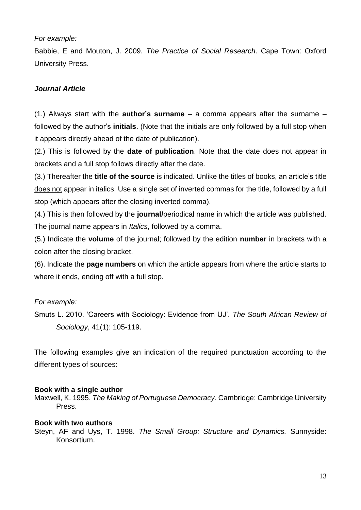#### *For example:*

Babbie, E and Mouton, J. 2009. *The Practice of Social Research*. Cape Town: Oxford University Press.

## *Journal Article*

(1.) Always start with the **author's surname** – a comma appears after the surname – followed by the author's **initials**. (Note that the initials are only followed by a full stop when it appears directly ahead of the date of publication).

(2.) This is followed by the **date of publication**. Note that the date does not appear in brackets and a full stop follows directly after the date.

(3.) Thereafter the **title of the source** is indicated. Unlike the titles of books, an article's title does not appear in italics. Use a single set of inverted commas for the title, followed by a full stop (which appears after the closing inverted comma).

(4.) This is then followed by the **journal/**periodical name in which the article was published. The journal name appears in *Italics*, followed by a comma.

(5.) Indicate the **volume** of the journal; followed by the edition **number** in brackets with a colon after the closing bracket.

(6). Indicate the **page numbers** on which the article appears from where the article starts to where it ends, ending off with a full stop.

## *For example:*

Smuts L. 2010. 'Careers with Sociology: Evidence from UJ'. *The South African Review of Sociology*, 41(1): 105-119.

The following examples give an indication of the required punctuation according to the different types of sources:

#### **Book with a single author**

Maxwell, K. 1995. *The Making of Portuguese Democracy.* Cambridge: Cambridge University Press.

#### **Book with two authors**

Steyn, AF and Uys, T. 1998. *The Small Group: Structure and Dynamics.* Sunnyside: Konsortium.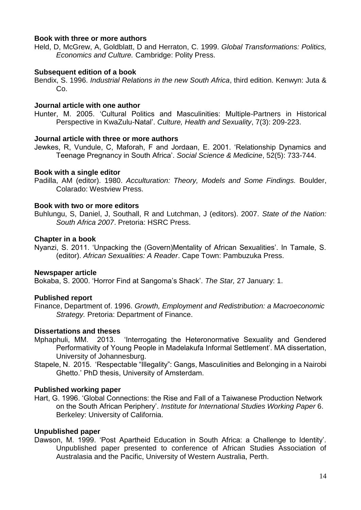#### **Book with three or more authors**

Held, D, McGrew, A, Goldblatt, D and Herraton, C. 1999. *Global Transformations: Politics, Economics and Culture.* Cambridge: Polity Press.

#### **Subsequent edition of a book**

Bendix, S. 1996. *Industrial Relations in the new South Africa*, third edition. Kenwyn: Juta & Co.

#### **Journal article with one author**

Hunter, M. 2005. 'Cultural Politics and Masculinities: Multiple-Partners in Historical Perspective in KwaZulu-Natal'. *Culture, Health and Sexuality*, 7(3): 209-223.

#### **Journal article with three or more authors**

Jewkes, R, Vundule, C, Maforah, F and Jordaan, E. 2001. 'Relationship Dynamics and Teenage Pregnancy in South Africa'. *Social Science & Medicine*, 52(5): 733-744.

#### **Book with a single editor**

Padilla, AM (editor). 1980. *Acculturation: Theory, Models and Some Findings.* Boulder, Colarado: Westview Press.

#### **Book with two or more editors**

Buhlungu, S, Daniel, J, Southall, R and Lutchman, J (editors). 2007. *State of the Nation: South Africa 2007*. Pretoria: HSRC Press.

#### **Chapter in a book**

Nyanzi, S. 2011. 'Unpacking the (Govern)Mentality of African Sexualities'. In Tamale, S. (editor). *African Sexualities: A Reader*. Cape Town: Pambuzuka Press.

#### **Newspaper article**

Bokaba, S. 2000. 'Horror Find at Sangoma's Shack'. *The Star,* 27 January: 1.

#### **Published report**

Finance, Department of. 1996. *Growth, Employment and Redistribution: a Macroeconomic Strategy.* Pretoria: Department of Finance.

#### **Dissertations and theses**

- Mphaphuli, MM. 2013. 'Interrogating the Heteronormative Sexuality and Gendered Performativity of Young People in Madelakufa Informal Settlement'. MA dissertation, University of Johannesburg.
- Stapele, N. 2015. 'Respectable "Illegality": Gangs, Masculinities and Belonging in a Nairobi Ghetto.' PhD thesis, University of Amsterdam.

#### **Published working paper**

Hart, G. 1996. 'Global Connections: the Rise and Fall of a Taiwanese Production Network on the South African Periphery'. *Institute for International Studies Working Paper* 6. Berkeley: University of California.

#### **Unpublished paper**

Dawson, M. 1999. 'Post Apartheid Education in South Africa: a Challenge to Identity'. Unpublished paper presented to conference of African Studies Association of Australasia and the Pacific, University of Western Australia, Perth.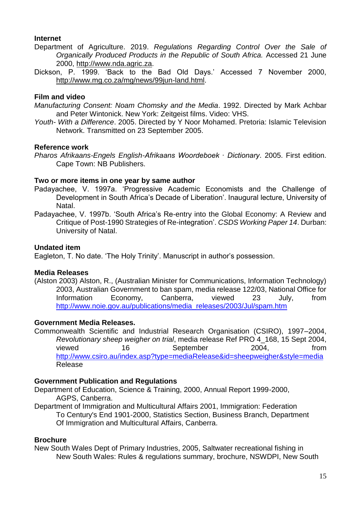#### **Internet**

- Department of Agriculture. 2019. *Regulations Regarding Control Over the Sale of Organically Produced Products in the Republic of South Africa.* Accessed 21 June 2000, [http://www.nda.agric.za.](http://www.nda.agric.za/)
- Dickson, P. 1999. 'Back to the Bad Old Days.' Accessed 7 November 2000, [http://www.mg.co.za/mg/news/99jun-land.html.](http://www.nda.agric.za/)

## **Film and video**

- *Manufacturing Consent: Noam Chomsky and the Media*. 1992. Directed by Mark Achbar and Peter Wintonick. New York: Zeitgeist films. Video: VHS.
- *Youth- With a Difference*. 2005. Directed by Y Noor Mohamed. Pretoria: Islamic Television Network. Transmitted on 23 September 2005.

#### **Reference work**

*Pharos Afrikaans-Engels English-Afrikaans Woordeboek ∙ Dictionary*. 2005. First edition. Cape Town: NB Publishers.

### **Two or more items in one year by same author**

- Padayachee, V. 1997a. 'Progressive Academic Economists and the Challenge of Development in South Africa's Decade of Liberation'. Inaugural lecture, University of Natal.
- Padayachee, V. 1997b. 'South Africa's Re-entry into the Global Economy: A Review and Critique of Post-1990 Strategies of Re-integration'. *CSDS Working Paper 14*. Durban: University of Natal.

#### **Undated item**

Eagleton, T. No date. 'The Holy Trinity'. Manuscript in author's possession.

#### **Media Releases**

(Alston 2003) Alston, R., (Australian Minister for Communications, Information Technology) 2003, Australian Government to ban spam, media release 122/03, National Office for Information Economy, Canberra, viewed 23 July, from [http://www.noie.gov.au/publications/media\\_releases/2003/Jul/spam.htm](http://www.noie.gov.au/publications/media_releases/2003/Jul/spam.htm)

#### **Government Media Releases.**

Commonwealth Scientific and Industrial Research Organisation (CSIRO), 1997–2004, *Revolutionary sheep weigher on trial*, media release Ref PRO 4\_168, 15 Sept 2004, viewed 16 September 2004, from <http://www.csiro.au/index.asp?type=mediaRelease&id=sheepweigher&style=media> Release

#### **Government Publication and Regulations**

Department of Education, Science & Training, 2000, Annual Report 1999-2000, AGPS, Canberra.

Department of Immigration and Multicultural Affairs 2001, Immigration: Federation To Century's End 1901-2000, Statistics Section, Business Branch, Department Of Immigration and Multicultural Affairs, Canberra.

#### **Brochure**

New South Wales Dept of Primary Industries, 2005, Saltwater recreational fishing in New South Wales: Rules & regulations summary, brochure, NSWDPI, New South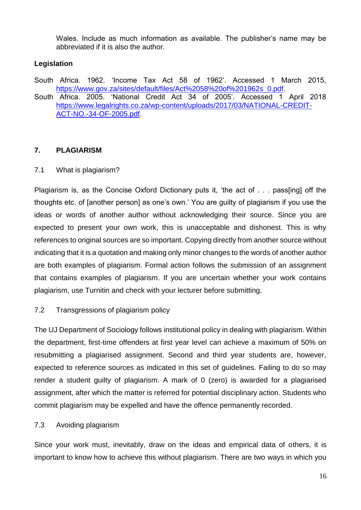Wales. Include as much information as available. The publisher's name may be abbreviated if it is also the author.

## **Legislation**

South Africa. 1962. 'Income Tax Act 58 of 1962'. Accessed 1 March 2015, [https://www.gov.za/sites/default/files/Act%2058%20of%201962s\\_0.pdf.](https://www.gov.za/sites/default/files/Act%2058%20of%201962s_0.pdf)

South Africa. 2005. 'National Credit Act 34 of 2005'. Accessed 1 April 2018 [https://www.legalrights.co.za/wp-content/uploads/2017/03/NATIONAL-CREDIT-](https://www.legalrights.co.za/wp-content/uploads/2017/03/NATIONAL-CREDIT-ACT-NO.-34-OF-2005.pdf)[ACT-NO.-34-OF-2005.pdf.](https://www.legalrights.co.za/wp-content/uploads/2017/03/NATIONAL-CREDIT-ACT-NO.-34-OF-2005.pdf)

## **7. PLAGIARISM**

7.1 What is plagiarism?

Plagiarism is, as the Concise Oxford Dictionary puts it, 'the act of . . . pass[ing] off the thoughts etc. of [another person] as one's own.' You are guilty of plagiarism if you use the ideas or words of another author without acknowledging their source. Since you are expected to present your own work, this is unacceptable and dishonest. This is why references to original sources are so important. Copying directly from another source without indicating that it is a quotation and making only minor changes to the words of another author are both examples of plagiarism. Formal action follows the submission of an assignment that contains examples of plagiarism. If you are uncertain whether your work contains plagiarism, use Turnitin and check with your lecturer before submitting.

## 7.2 Transgressions of plagiarism policy

The UJ Department of Sociology follows institutional policy in dealing with plagiarism. Within the department, first-time offenders at first year level can achieve a maximum of 50% on resubmitting a plagiarised assignment. Second and third year students are, however, expected to reference sources as indicated in this set of guidelines. Failing to do so may render a student guilty of plagiarism. A mark of 0 (zero) is awarded for a plagiarised assignment, after which the matter is referred for potential disciplinary action. Students who commit plagiarism may be expelled and have the offence permanently recorded.

## 7.3 Avoiding plagiarism

Since your work must, inevitably, draw on the ideas and empirical data of others, it is important to know how to achieve this without plagiarism. There are two ways in which you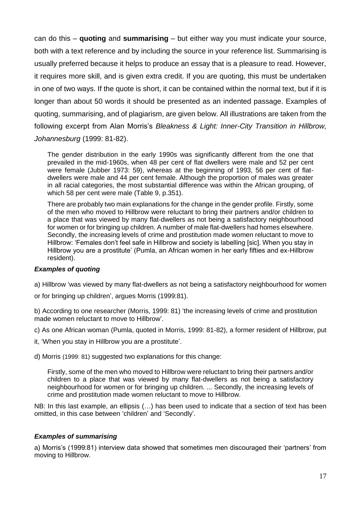can do this – **quoting** and **summarising** – but either way you must indicate your source, both with a text reference and by including the source in your reference list. Summarising is usually preferred because it helps to produce an essay that is a pleasure to read. However, it requires more skill, and is given extra credit. If you are quoting, this must be undertaken in one of two ways. If the quote is short, it can be contained within the normal text, but if it is longer than about 50 words it should be presented as an indented passage. Examples of quoting, summarising, and of plagiarism, are given below. All illustrations are taken from the following excerpt from Alan Morris's *Bleakness & Light: Inner-City Transition in Hillbrow, Johannesburg* (1999: 81-82).

The gender distribution in the early 1990s was significantly different from the one that prevailed in the mid-1960s, when 48 per cent of flat dwellers were male and 52 per cent were female (Jubber 1973: 59), whereas at the beginning of 1993, 56 per cent of flatdwellers were male and 44 per cent female. Although the proportion of males was greater in all racial categories, the most substantial difference was within the African grouping, of which 58 per cent were male (Table 9, p.351).

There are probably two main explanations for the change in the gender profile. Firstly, some of the men who moved to Hillbrow were reluctant to bring their partners and/or children to a place that was viewed by many flat-dwellers as not being a satisfactory neighbourhood for women or for bringing up children. A number of male flat-dwellers had homes elsewhere. Secondly, the increasing levels of crime and prostitution made women reluctant to move to Hillbrow: 'Females don't feel safe in Hillbrow and society is labelling [sic]. When you stay in Hillbrow you are a prostitute' (Pumla, an African women in her early fifties and ex-Hillbrow resident).

#### *Examples of quoting*

a) Hillbrow 'was viewed by many flat-dwellers as not being a satisfactory neighbourhood for women

or for bringing up children', argues Morris (1999:81).

b) According to one researcher (Morris, 1999: 81) 'the increasing levels of crime and prostitution made women reluctant to move to Hillbrow'.

c) As one African woman (Pumla, quoted in Morris, 1999: 81-82), a former resident of Hillbrow, put

it, 'When you stay in Hillbrow you are a prostitute'.

d) Morris (1999: 81) suggested two explanations for this change:

Firstly, some of the men who moved to Hillbrow were reluctant to bring their partners and/or children to a place that was viewed by many flat-dwellers as not being a satisfactory neighbourhood for women or for bringing up children. ... Secondly, the increasing levels of crime and prostitution made women reluctant to move to Hillbrow.

NB: In this last example, an ellipsis (…) has been used to indicate that a section of text has been omitted, in this case between 'children' and 'Secondly'.

#### *Examples of summarising*

a) Morris's (1999:81) interview data showed that sometimes men discouraged their 'partners' from moving to Hillbrow.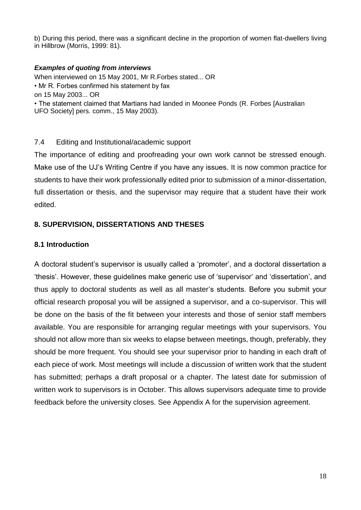b) During this period, there was a significant decline in the proportion of women flat-dwellers living in Hillbrow (Morris, 1999: 81).

#### *Examples of quoting from interviews*

When interviewed on 15 May 2001, Mr R.Forbes stated... OR • Mr R. Forbes confirmed his statement by fax on 15 May 2003... OR • The statement claimed that Martians had landed in Moonee Ponds (R. Forbes [Australian UFO Society] pers. comm., 15 May 2003).

### 7.4 Editing and Institutional/academic support

The importance of editing and proofreading your own work cannot be stressed enough. Make use of the UJ's Writing Centre if you have any issues. It is now common practice for students to have their work professionally edited prior to submission of a minor-dissertation, full dissertation or thesis, and the supervisor may require that a student have their work edited.

## **8. SUPERVISION, DISSERTATIONS AND THESES**

### **8.1 Introduction**

A doctoral student's supervisor is usually called a 'promoter', and a doctoral dissertation a 'thesis'. However, these guidelines make generic use of 'supervisor' and 'dissertation', and thus apply to doctoral students as well as all master's students. Before you submit your official research proposal you will be assigned a supervisor, and a co-supervisor. This will be done on the basis of the fit between your interests and those of senior staff members available. You are responsible for arranging regular meetings with your supervisors. You should not allow more than six weeks to elapse between meetings, though, preferably, they should be more frequent. You should see your supervisor prior to handing in each draft of each piece of work. Most meetings will include a discussion of written work that the student has submitted; perhaps a draft proposal or a chapter. The latest date for submission of written work to supervisors is in October. This allows supervisors adequate time to provide feedback before the university closes. See Appendix A for the supervision agreement.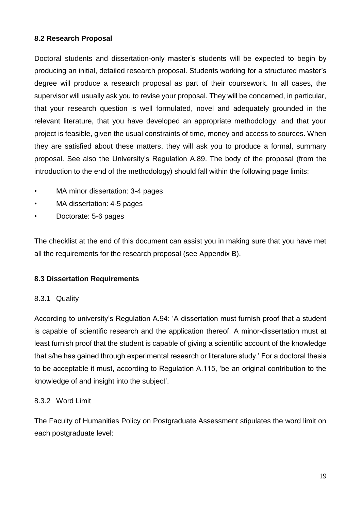## **8.2 Research Proposal**

Doctoral students and dissertation-only master's students will be expected to begin by producing an initial, detailed research proposal. Students working for a structured master's degree will produce a research proposal as part of their coursework. In all cases, the supervisor will usually ask you to revise your proposal. They will be concerned, in particular, that your research question is well formulated, novel and adequately grounded in the relevant literature, that you have developed an appropriate methodology, and that your project is feasible, given the usual constraints of time, money and access to sources. When they are satisfied about these matters, they will ask you to produce a formal, summary proposal. See also the University's Regulation A.89. The body of the proposal (from the introduction to the end of the methodology) should fall within the following page limits:

- MA minor dissertation: 3-4 pages
- MA dissertation: 4-5 pages
- Doctorate: 5-6 pages

The checklist at the end of this document can assist you in making sure that you have met all the requirements for the research proposal (see Appendix B).

## **8.3 Dissertation Requirements**

## 8.3.1 Quality

According to university's Regulation A.94: 'A dissertation must furnish proof that a student is capable of scientific research and the application thereof. A minor-dissertation must at least furnish proof that the student is capable of giving a scientific account of the knowledge that s/he has gained through experimental research or literature study.' For a doctoral thesis to be acceptable it must, according to Regulation A.115, 'be an original contribution to the knowledge of and insight into the subject'.

## 8.3.2 Word Limit

The Faculty of Humanities Policy on Postgraduate Assessment stipulates the word limit on each postgraduate level: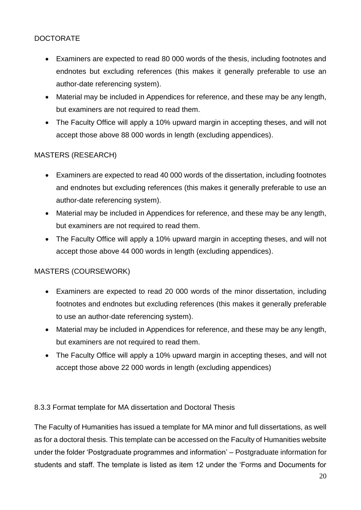## DOCTORATE

- Examiners are expected to read 80 000 words of the thesis, including footnotes and endnotes but excluding references (this makes it generally preferable to use an author-date referencing system).
- Material may be included in Appendices for reference, and these may be any length, but examiners are not required to read them.
- The Faculty Office will apply a 10% upward margin in accepting theses, and will not accept those above 88 000 words in length (excluding appendices).

## MASTERS (RESEARCH)

- Examiners are expected to read 40 000 words of the dissertation, including footnotes and endnotes but excluding references (this makes it generally preferable to use an author-date referencing system).
- Material may be included in Appendices for reference, and these may be any length, but examiners are not required to read them.
- The Faculty Office will apply a 10% upward margin in accepting theses, and will not accept those above 44 000 words in length (excluding appendices).

## MASTERS (COURSEWORK)

- Examiners are expected to read 20 000 words of the minor dissertation, including footnotes and endnotes but excluding references (this makes it generally preferable to use an author-date referencing system).
- Material may be included in Appendices for reference, and these may be any length, but examiners are not required to read them.
- The Faculty Office will apply a 10% upward margin in accepting theses, and will not accept those above 22 000 words in length (excluding appendices)

## 8.3.3 Format template for MA dissertation and Doctoral Thesis

The Faculty of Humanities has issued a template for MA minor and full dissertations, as well as for a doctoral thesis. This template can be accessed on the Faculty of Humanities website under the folder 'Postgraduate programmes and information' – Postgraduate information for students and staff. The template is listed as item 12 under the 'Forms and Documents for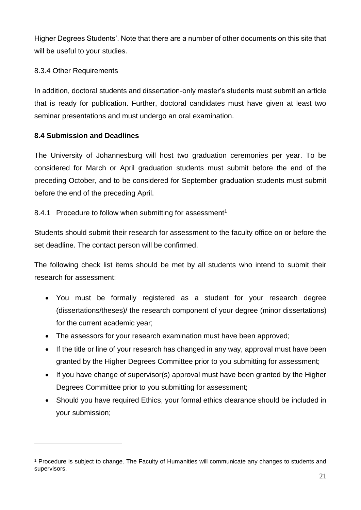Higher Degrees Students'. Note that there are a number of other documents on this site that will be useful to your studies.

## 8.3.4 Other Requirements

In addition, doctoral students and dissertation-only master's students must submit an article that is ready for publication. Further, doctoral candidates must have given at least two seminar presentations and must undergo an oral examination.

## **8.4 Submission and Deadlines**

<u>.</u>

The University of Johannesburg will host two graduation ceremonies per year. To be considered for March or April graduation students must submit before the end of the preceding October, and to be considered for September graduation students must submit before the end of the preceding April.

## 8.4.1 Procedure to follow when submitting for assessment<sup>1</sup>

Students should submit their research for assessment to the faculty office on or before the set deadline. The contact person will be confirmed.

The following check list items should be met by all students who intend to submit their research for assessment:

- You must be formally registered as a student for your research degree (dissertations/theses)/ the research component of your degree (minor dissertations) for the current academic year;
- The assessors for your research examination must have been approved:
- If the title or line of your research has changed in any way, approval must have been granted by the Higher Degrees Committee prior to you submitting for assessment;
- If you have change of supervisor(s) approval must have been granted by the Higher Degrees Committee prior to you submitting for assessment;
- Should you have required Ethics, your formal ethics clearance should be included in your submission;

<sup>&</sup>lt;sup>1</sup> Procedure is subject to change. The Faculty of Humanities will communicate any changes to students and supervisors.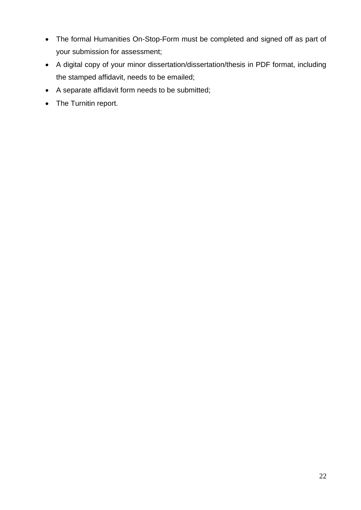- The formal Humanities On-Stop-Form must be completed and signed off as part of your submission for assessment;
- A digital copy of your minor dissertation/dissertation/thesis in PDF format, including the stamped affidavit, needs to be emailed;
- A separate affidavit form needs to be submitted;
- The Turnitin report.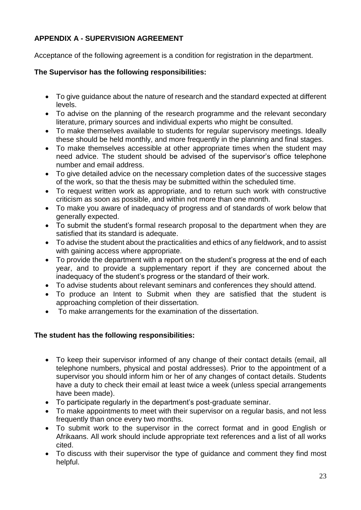## **APPENDIX A - SUPERVISION AGREEMENT**

Acceptance of the following agreement is a condition for registration in the department.

## **The Supervisor has the following responsibilities:**

- To give guidance about the nature of research and the standard expected at different levels.
- To advise on the planning of the research programme and the relevant secondary literature, primary sources and individual experts who might be consulted.
- To make themselves available to students for regular supervisory meetings. Ideally these should be held monthly, and more frequently in the planning and final stages.
- To make themselves accessible at other appropriate times when the student may need advice. The student should be advised of the supervisor's office telephone number and email address.
- To give detailed advice on the necessary completion dates of the successive stages of the work, so that the thesis may be submitted within the scheduled time.
- To request written work as appropriate, and to return such work with constructive criticism as soon as possible, and within not more than one month.
- To make you aware of inadequacy of progress and of standards of work below that generally expected.
- To submit the student's formal research proposal to the department when they are satisfied that its standard is adequate.
- To advise the student about the practicalities and ethics of any fieldwork, and to assist with gaining access where appropriate.
- To provide the department with a report on the student's progress at the end of each year, and to provide a supplementary report if they are concerned about the inadequacy of the student's progress or the standard of their work.
- To advise students about relevant seminars and conferences they should attend.
- To produce an Intent to Submit when they are satisfied that the student is approaching completion of their dissertation.
- To make arrangements for the examination of the dissertation.

## **The student has the following responsibilities:**

- To keep their supervisor informed of any change of their contact details (email, all telephone numbers, physical and postal addresses). Prior to the appointment of a supervisor you should inform him or her of any changes of contact details. Students have a duty to check their email at least twice a week (unless special arrangements have been made).
- To participate regularly in the department's post-graduate seminar.
- To make appointments to meet with their supervisor on a regular basis, and not less frequently than once every two months.
- To submit work to the supervisor in the correct format and in good English or Afrikaans. All work should include appropriate text references and a list of all works cited.
- To discuss with their supervisor the type of guidance and comment they find most helpful.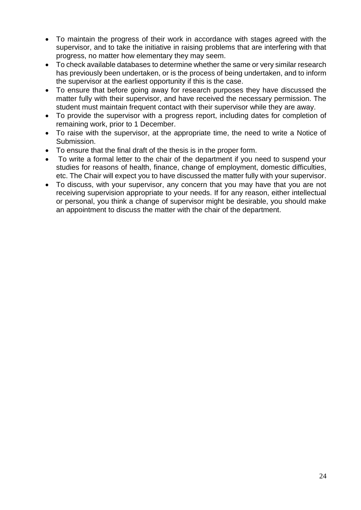- To maintain the progress of their work in accordance with stages agreed with the supervisor, and to take the initiative in raising problems that are interfering with that progress, no matter how elementary they may seem.
- To check available databases to determine whether the same or very similar research has previously been undertaken, or is the process of being undertaken, and to inform the supervisor at the earliest opportunity if this is the case.
- To ensure that before going away for research purposes they have discussed the matter fully with their supervisor, and have received the necessary permission. The student must maintain frequent contact with their supervisor while they are away.
- To provide the supervisor with a progress report, including dates for completion of remaining work, prior to 1 December.
- To raise with the supervisor, at the appropriate time, the need to write a Notice of Submission.
- To ensure that the final draft of the thesis is in the proper form.
- To write a formal letter to the chair of the department if you need to suspend your studies for reasons of health, finance, change of employment, domestic difficulties, etc. The Chair will expect you to have discussed the matter fully with your supervisor.
- To discuss, with your supervisor, any concern that you may have that you are not receiving supervision appropriate to your needs. If for any reason, either intellectual or personal, you think a change of supervisor might be desirable, you should make an appointment to discuss the matter with the chair of the department.